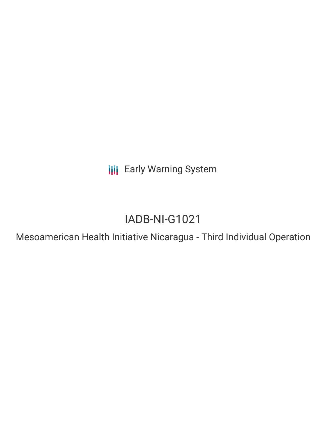**III** Early Warning System

# IADB-NI-G1021

Mesoamerican Health Initiative Nicaragua - Third Individual Operation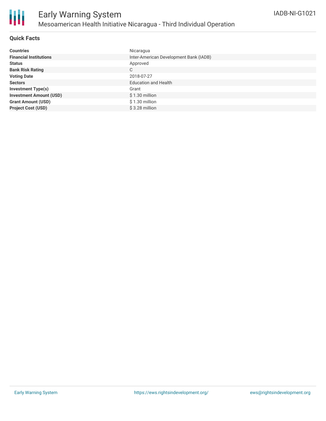

### **Quick Facts**

| <b>Countries</b>               | Nicaragua                              |
|--------------------------------|----------------------------------------|
| <b>Financial Institutions</b>  | Inter-American Development Bank (IADB) |
| <b>Status</b>                  | Approved                               |
| <b>Bank Risk Rating</b>        | C                                      |
| <b>Voting Date</b>             | 2018-07-27                             |
| <b>Sectors</b>                 | <b>Education and Health</b>            |
| <b>Investment Type(s)</b>      | Grant                                  |
| <b>Investment Amount (USD)</b> | $$1.30$ million                        |
| <b>Grant Amount (USD)</b>      | $$1.30$ million                        |
| <b>Project Cost (USD)</b>      | $$3.28$ million                        |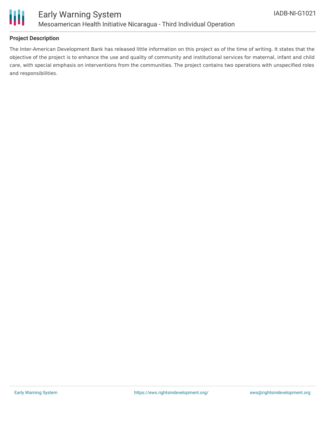

## **Project Description**

The Inter-American Development Bank has released little information on this project as of the time of writing. It states that the objective of the project is to enhance the use and quality of community and institutional services for maternal, infant and child care, with special emphasis on interventions from the communities. The project contains two operations with unspecified roles and responsibilities.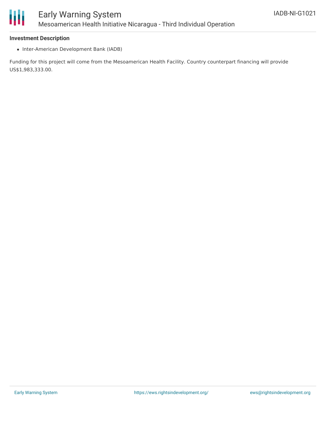

#### **Investment Description**

• Inter-American Development Bank (IADB)

Funding for this project will come from the Mesoamerican Health Facility. Country counterpart financing will provide US\$1,983,333.00.